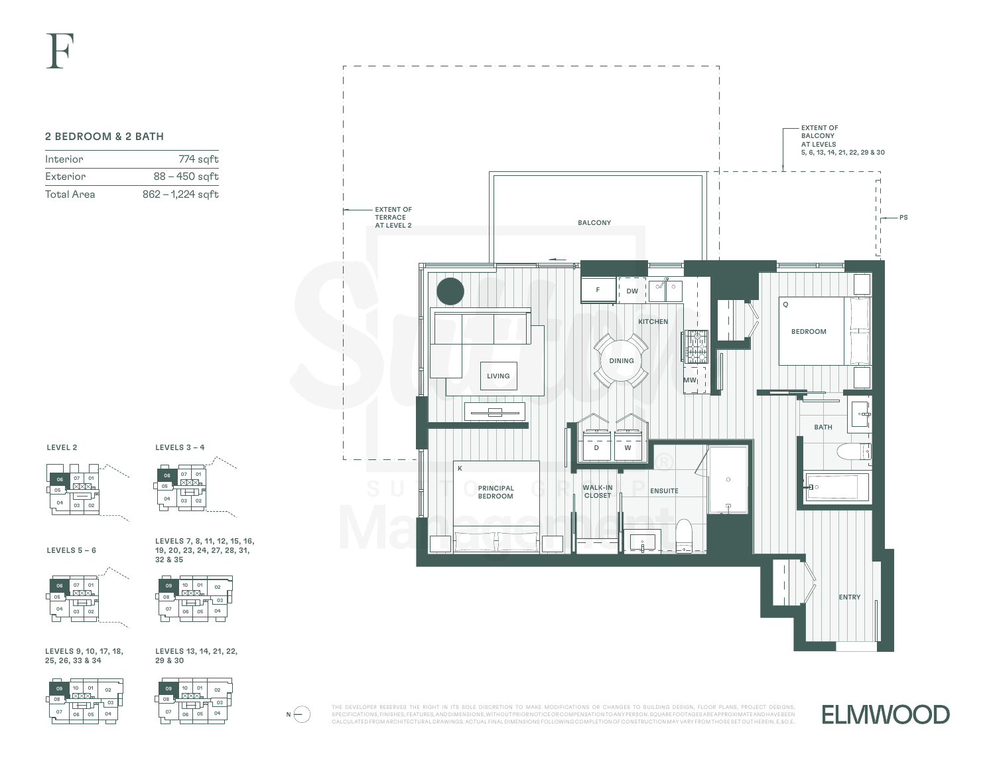## 2 BEDROOM & 2 BATH

| Interior          | 774 saft           |
|-------------------|--------------------|
| Exterior          | $88 - 450$ sqft    |
| <b>Total Area</b> | $862 - 1,224$ sqft |







LEVELS 5 – 6

LEVELS 7, 8, 11, 12, 15, 16, 19, 20, 23, 24, 27, 28, 31, 32 & 35





LEVELS 9, 10, 17, 18, 25, 26, 33 & 34







THE DEVELOPER RESERVES THE RIGHT IN ITS SOLE DISCRETION TO MAKE MODIFICATIONS OR CHANGES TO BUILDING DESIGN, FLOOR PLANS, PROJECT DESIGNS,  $N\bigoplus$ SPECIFICATIONS, FINISHES, FEATURES, AND DIMENSIONS, WITHOUT PRIOR NOTICE OR COMPENSATION TO ANY PERSON. SQUARE FOOTAGES ARE APPROXIMATE AND HAVE BEEN CALCULATED FROM ARCHITECTURAL DRAWINGS. ACTUAL FINAL DIMENSIONS FOLLOWING COMPLETION OF CONSTRUCTION MAY VARY FROM THOSE SET OUT HEREIN. E.&O.E.